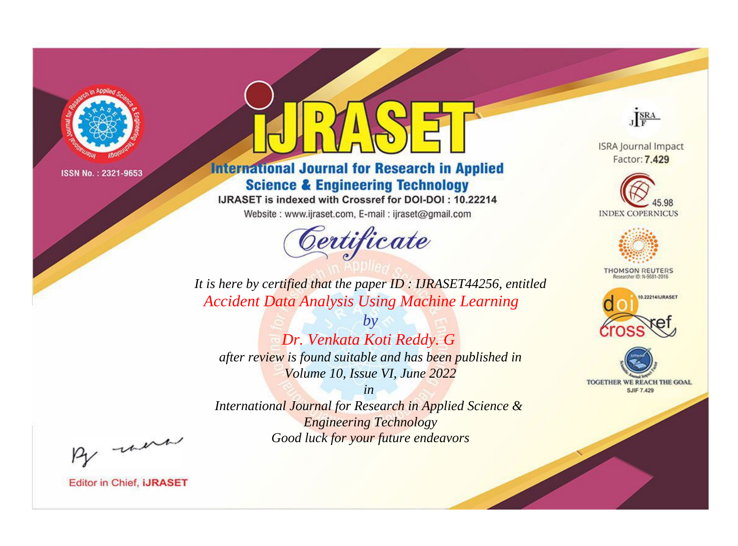

# **International Journal for Research in Applied Science & Engineering Technology**

IJRASET is indexed with Crossref for DOI-DOI: 10.22214

Website: www.ijraset.com, E-mail: ijraset@gmail.com



JERA

**ISRA Journal Impact** Factor: 7.429





**THOMSON REUTERS** 



TOGETHER WE REACH THE GOAL **SJIF 7.429** 

*It is here by certified that the paper ID : IJRASET44256, entitled Accident Data Analysis Using Machine Learning*

*by Dr. Venkata Koti Reddy. G after review is found suitable and has been published in Volume 10, Issue VI, June 2022*

*in* 

*International Journal for Research in Applied Science & Engineering Technology Good luck for your future endeavors*

By morn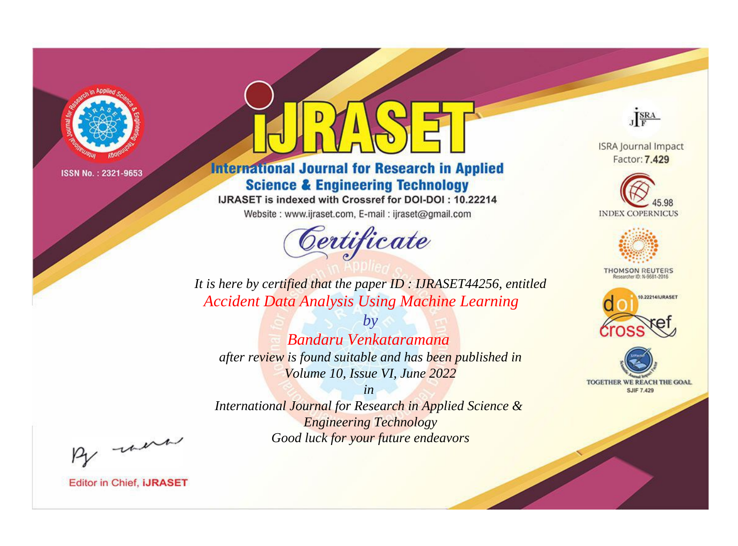

# **International Journal for Research in Applied Science & Engineering Technology**

IJRASET is indexed with Crossref for DOI-DOI: 10.22214

Website: www.ijraset.com, E-mail: ijraset@gmail.com



JERA

**ISRA Journal Impact** Factor: 7.429





**THOMSON REUTERS** 



TOGETHER WE REACH THE GOAL **SJIF 7.429** 

*It is here by certified that the paper ID : IJRASET44256, entitled Accident Data Analysis Using Machine Learning*

*by Bandaru Venkataramana after review is found suitable and has been published in Volume 10, Issue VI, June 2022*

*in* 

*International Journal for Research in Applied Science & Engineering Technology Good luck for your future endeavors*

By morn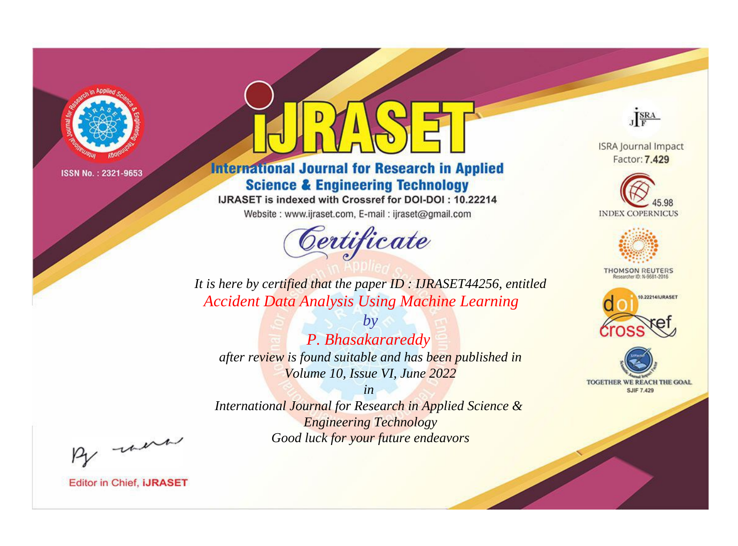

# **International Journal for Research in Applied Science & Engineering Technology**

IJRASET is indexed with Crossref for DOI-DOI: 10.22214

Website: www.ijraset.com, E-mail: ijraset@gmail.com



JERA

**ISRA Journal Impact** Factor: 7.429





**THOMSON REUTERS** 



TOGETHER WE REACH THE GOAL **SJIF 7.429** 

It is here by certified that the paper ID: IJRASET44256, entitled **Accident Data Analysis Using Machine Learning** 

 $b\nu$ P. Bhasakarareddy after review is found suitable and has been published in Volume 10, Issue VI, June 2022

 $in$ International Journal for Research in Applied Science & **Engineering Technology** Good luck for your future endeavors

By morn